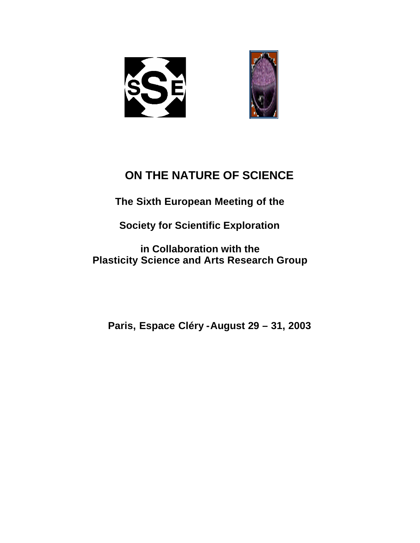



# **ON THE NATURE OF SCIENCE**

**The Sixth European Meeting of the**

**Society for Scientific Exploration**

**in Collaboration with the Plasticity Science and Arts Research Group**

**Paris, Espace Cléry -August 29 – 31, 2003**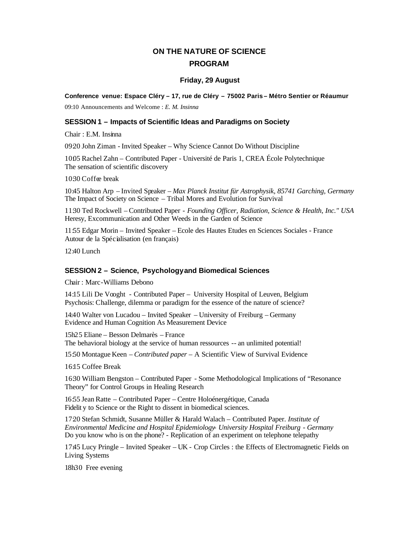## **ON THE NATURE OF SCIENCE PROGRAM**

### **Friday, 29 August**

**Conference venue: Espace Cléry – 17, rue de Cléry – 75002 Paris – Métro Sentier or Réaumur** 

09:10 Announcements and Welcome : *E. M. Insinna*

### **SESSION 1 – Impacts of Scientific Ideas and Paradigms on Society**

Chair : E.M. Insinna

09:20 John Ziman - Invited Speaker *–* Why Science Cannot Do Without Discipline

1005 Rachel Zahn – Contributed Paper - Université de Paris 1, CREA École Polytechnique The sensation of scientific discovery

1030 Coffee break

10:45 Halton Arp – Invited Speaker *– Max Planck Institut für Astrophysik, 85741 Garching, Germany* The Impact of Society on Science – Tribal Mores and Evolution for Survival

11:30 Ted Rockwell – Contributed Paper - *Founding Officer, Radiation, Science & Health, Inc." USA* Heresy, Excommunication and Other Weeds in the Garden of Science

11:55 Edgar Morin – Invited Speaker – Ecole des Hautes Etudes en Sciences Sociales - France Autour de la Spécialisation (en français)

12:40 Lunch

### **SESSION 2 – Science, Psychology and Biomedical Sciences**

Chair : Marc-Williams Debono

14:15 Lili De Vooght - Contributed Paper – University Hospital of Leuven, Belgium Psychosis: Challenge, dilemma or paradigm for the essence of the nature of science?

14:40 Walter von Lucadou – Invited Speaker *–* University of Freiburg – Germany Evidence and Human Cognition As Measurement Device

15h25 Eliane – Besson Delmarès – France The behavioral biology at the service of human ressources -- an unlimited potential!

15:50 Montague Keen – *Contributed paper –* A Scientific View of Survival Evidence

16:15 Coffee Break

16:30 William Bengston – Contributed Paper - Some Methodological Implications of "Resonance Theory" for Control Groups in Healing Research

16:55 Jean Ratte – Contributed Paper – Centre Holoénergétique, Canada Fidelit y to Science or the Right to dissent in biomedical sciences.

17:20 Stefan Schmidt, Susanne Müller & Harald Walach – Contributed Paper. *Institute of Environmental Medicine and Hospital Epidemiology- University Hospital Freiburg - Germany* Do you know who is on the phone? - Replication of an experiment on telephone telepathy

17:45 Lucy Pringle – Invited Speaker – UK - Crop Circles : the Effects of Electromagnetic Fields on Living Systems

18h30 Free evening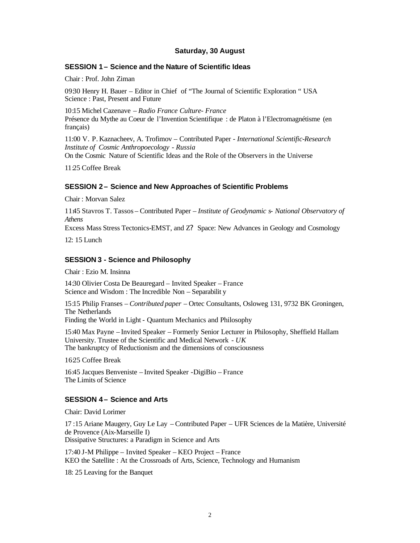### **Saturday, 30 August**

### **SESSION 1 – Science and the Nature of Scientific Ideas**

Chair : Prof. John Ziman

09:30 Henry H. Bauer – Editor in Chief of "The Journal of Scientific Exploration " USA Science : Past, Present and Future

10:15 Michel Cazenave *– Radio France Culture- France* Présence du Mythe au Coeur de l'Invention Scientifique : de Platon à l'Electromagnétisme (en français)

11:00 V. P. Kaznacheev, A. Trofimov – Contributed Paper - *International Scientific-Research Institute of Cosmic Anthropoecology - Russia*

On the Cosmic Nature of Scientific Ideas and the Role of the Observers in the Universe

11:25 Coffee Break

### **SESSION 2 – Science and New Approaches of Scientific Problems**

Chair : Morvan Salez

11:45 Stavros T. Tassos – Contributed Paper – *Institute of Geodynamic s- National Observatory of Athens*

Excess Mass Stress Tectonics-EMST, and Z? Space: New Advances in Geology and Cosmology

12: 15 Lunch

## **SESSION 3 - Science and Philosophy**

Chair : Ezio M. Insinna

14:30 Olivier Costa De Beauregard – Invited Speaker – France Science and Wisdom : The Incredible Non – Separabilit y

15:15 Philip Franses – *Contributed paper –* Ortec Consultants, Osloweg 131, 9732 BK Groningen, The Netherlands

Finding the World in Light - Quantum Mechanics and Philosophy

15:40 Max Payne – Invited Speaker *–* Formerly Senior Lecturer in Philosophy, Sheffield Hallam University. Trustee of the Scientific and Medical Network - *UK* The bankruptcy of Reductionism and the dimensions of consciousness

1625 Coffee Break

16:45 Jacques Benveniste – Invited Speaker -DigiBio – France The Limits of Science

### **SESSION 4 – Science and Arts**

Chair: David Lorimer

17 :15 Ariane Maugery, Guy Le Lay – Contributed Paper – UFR Sciences de la Matière, Université de Provence (Aix-Marseille I) Dissipative Structures: a Paradigm in Science and Arts

17:40 J-M Philippe – Invited Speaker – KEO Project – France KEO the Satellite : At the Crossroads of Arts, Science, Technology and Humanism

18: 25 Leaving for the Banquet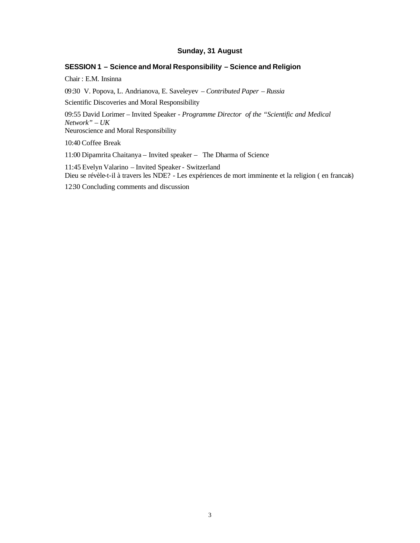## **Sunday, 31 August**

## **SESSION 1 – Science and Moral Responsibility – Science and Religion**

Chair : E.M. Insinna

09:30 V. Popova, L. Andrianova, E. Saveleyev – *Contributed Paper – Russia*

Scientific Discoveries and Moral Responsibility

09:55 David Lorimer – Invited Speaker - *Programme Director of the "Scientific and Medical Network" – UK* Neuroscience and Moral Responsibility

10:40 Coffee Break

11:00 Dipamrita Chaitanya – Invited speaker – The Dharma of Science

11:45 Evelyn Valarino – Invited Speaker - Switzerland Dieu se révèle-t-il à travers les NDE? - Les expériences de mort imminente et la religion ( en francais)

12:30 Concluding comments and discussion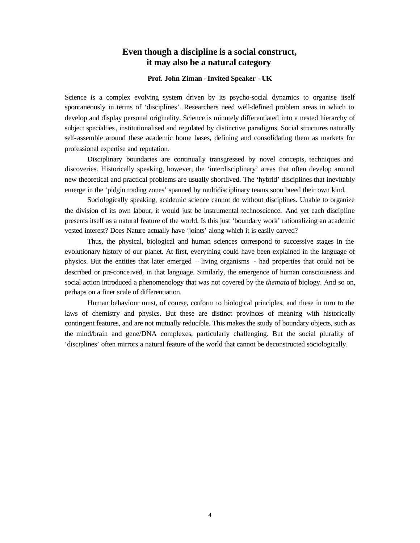## **Even though a discipline is a social construct, it may also be a natural category**

### **Prof. John Ziman - Invited Speaker** *-* **UK**

Science is a complex evolving system driven by its psycho-social dynamics to organise itself spontaneously in terms of 'disciplines'. Researchers need well-defined problem areas in which to develop and display personal originality. Science is minutely differentiated into a nested hierarchy of subject specialties*,* institutionalised and regulated by distinctive paradigms. Social structures naturally self-assemble around these academic home bases, defining and consolidating them as markets for professional expertise and reputation.

Disciplinary boundaries are continually transgressed by novel concepts, techniques and discoveries. Historically speaking, however, the 'interdisciplinary' areas that often develop around new theoretical and practical problems are usually shortlived. The 'hybrid' disciplines that inevitably emerge in the 'pidgin trading zones' spanned by multidisciplinary teams soon breed their own kind.

Sociologically speaking, academic science cannot do without disciplines. Unable to organize the division of its own labour, it would just be instrumental technoscience. And yet each discipline presents itself as a natural feature of the world. Is this just 'boundary work' rationalizing an academic vested interest? Does Nature actually have 'joints' along which it is easily carved?

Thus, the physical, biological and human sciences correspond to successive stages in the evolutionary history of our planet. At first, everything could have been explained in the language of physics. But the entities that later emerged – living organisms - had properties that could not be described or pre-conceived, in that language. Similarly, the emergence of human consciousness and social action introduced a phenomenology that was not covered by the *themata* of biology. And so on, perhaps on a finer scale of differentiation.

Human behaviour must, of course, conform to biological principles, and these in turn to the laws of chemistry and physics. But these are distinct provinces of meaning with historically contingent features, and are not mutually reducible. This makes the study of boundary objects, such as the mind/brain and gene/DNA complexes, particularly challenging. But the social plurality of 'disciplines' often mirrors a natural feature of the world that cannot be deconstructed sociologically.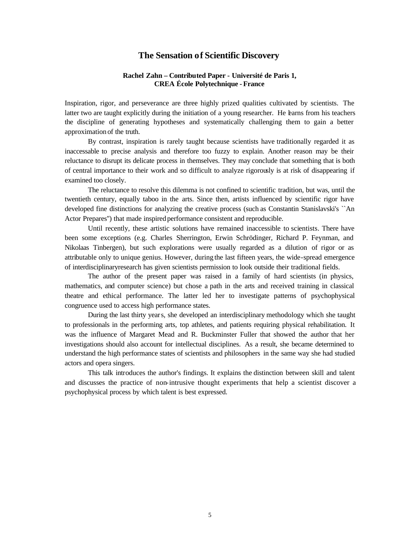## **The Sensation of Scientific Discovery**

### **Rachel Zahn – Contributed Paper - Université de Paris 1, CREA École Polytechnique - France**

Inspiration, rigor, and perseverance are three highly prized qualities cultivated by scientists. The latter two are taught explicitly during the initiation of a young researcher. He learns from his teachers the discipline of generating hypotheses and systematically challenging them to gain a better approximation of the truth.

By contrast, inspiration is rarely taught because scientists have traditionally regarded it as inaccessable to precise analysis and therefore too fuzzy to explain. Another reason may be their reluctance to disrupt its delicate process in themselves. They may conclude that something that is both of central importance to their work and so difficult to analyze rigorously is at risk of disappearing if examined too closely.

The reluctance to resolve this dilemma is not confined to scientific tradition, but was, until the twentieth century, equally taboo in the arts. Since then, artists influenced by scientific rigor have developed fine distinctions for analyzing the creative process (such as Constantin Stanislavski's ``An Actor Prepares'') that made inspired performance consistent and reproducible.

Until recently, these artistic solutions have remained inaccessible to scientists. There have been some exceptions (e.g. Charles Sherrington, Erwin Schrödinger, Richard P. Feynman, and Nikolaas Tinbergen), but such explorations were usually regarded as a dilution of rigor or as attributable only to unique genius. However, during the last fifteen years, the wide-spread emergence of interdisciplinaryresearch has given scientists permission to look outside their traditional fields.

The author of the present paper was raised in a family of hard scientists (in physics, mathematics, and computer science) but chose a path in the arts and received training in classical theatre and ethical performance. The latter led her to investigate patterns of psychophysical congruence used to access high performance states.

During the last thirty years, she developed an interdisciplinary methodology which she taught to professionals in the performing arts, top athletes, and patients requiring physical rehabilitation. It was the influence of Margaret Mead and R. Buckminster Fuller that showed the author that her investigations should also account for intellectual disciplines. As a result, she became determined to understand the high performance states of scientists and philosophers in the same way she had studied actors and opera singers.

This talk introduces the author's findings. It explains the distinction between skill and talent and discusses the practice of non-intrusive thought experiments that help a scientist discover a psychophysical process by which talent is best expressed.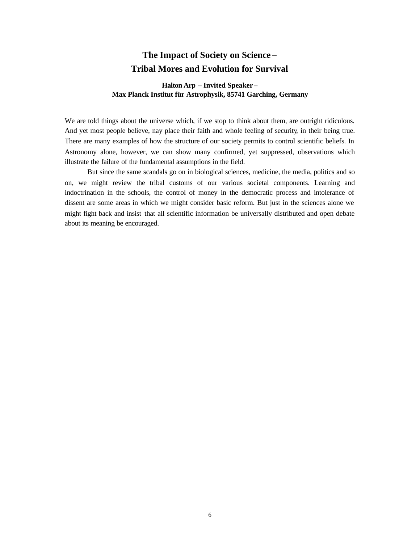## **The Impact of Society on Science – Tribal Mores and Evolution for Survival**

## **Halton Arp – Invited Speaker** *–* **Max Planck Institut für Astrophysik, 85741 Garching, Germany**

We are told things about the universe which, if we stop to think about them, are outright ridiculous. And yet most people believe, nay place their faith and whole feeling of security, in their being true. There are many examples of how the structure of our society permits to control scientific beliefs. In Astronomy alone, however, we can show many confirmed, yet suppressed, observations which illustrate the failure of the fundamental assumptions in the field.

But since the same scandals go on in biological sciences, medicine, the media, politics and so on, we might review the tribal customs of our various societal components. Learning and indoctrination in the schools, the control of money in the democratic process and intolerance of dissent are some areas in which we might consider basic reform. But just in the sciences alone we might fight back and insist that all scientific information be universally distributed and open debate about its meaning be encouraged.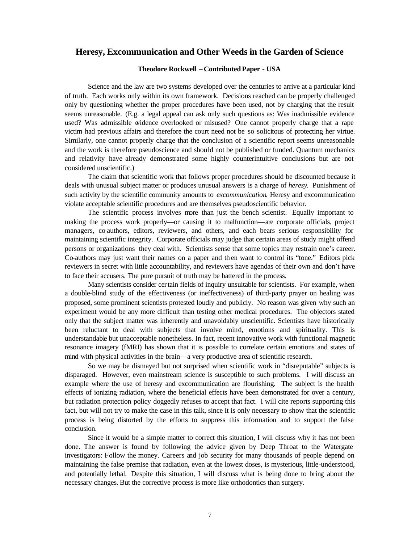## **Heresy, Excommunication and Other Weeds in the Garden of Science**

### **Theodore Rockwell – Contributed Paper - USA**

Science and the law are two systems developed over the centuries to arrive at a particular kind of truth. Each works only within its own framework. Decisions reached can be properly challenged only by questioning whether the proper procedures have been used, not by charging that the result seems unreasonable. (E.g. a legal appeal can ask only such questions as: Was inadmissible evidence used? Was admissible evidence overlooked or misused? One cannot properly charge that a rape victim had previous affairs and therefore the court need not be so solicitous of protecting her virtue. Similarly, one cannot properly charge that the conclusion of a scientific report seems unreasonable and the work is therefore pseudoscience and should not be published or funded. Quantum mechanics and relativity have already demonstrated some highly counterintuitive conclusions but are not considered unscientific.)

The claim that scientific work that follows proper procedures should be discounted because it deals with unusual subject matter or produces unusual answers is a charge of *heresy*. Punishment of such activity by the scientific community amounts to *excommunication*. Heresy and excommunication violate acceptable scientific procedures and are themselves pseudoscientific behavior.

The scientific process involves more than just the bench scientist. Equally important to making the process work properly—or causing it to malfunction—are corporate officials, project managers, co-authors, editors, reviewers, and others, and each bears serious responsibility for maintaining scientific integrity. Corporate officials may judge that certain areas of study might offend persons or organizations they deal with. Scientists sense that some topics may restrain one's career. Co-authors may just want their names on a paper and th en want to control its "tone." Editors pick reviewers in secret with little accountability, and reviewers have agendas of their own and don't have to face their accusers. The pure pursuit of truth may be battered in the process.

Many scientists consider certain fields of inquiry unsuitable for scientists. For example, when a double-blind study of the effectiveness (or ineffectiveness) of third-party prayer on healing was proposed, some prominent scientists protested loudly and publicly. No reason was given why such an experiment would be any more difficult than testing other medical procedures. The objectors stated only that the subject matter was inherently and unavoidably unscientific. Scientists have historically been reluctant to deal with subjects that involve mind, emotions and spirituality. This is understandable but unacceptable nonetheless. In fact, recent innovative work with functional magnetic resonance imagery (fMRI) has shown that it is possible to correlate certain emotions and states of mind with physical activities in the brain—a very productive area of scientific research.

So we may be dismayed but not surprised when scientific work in "disreputable" subjects is disparaged. However, even mainstream science is susceptible to such problems. I will discuss an example where the use of heresy and excommunication are flourishing. The subject is the health effects of ionizing radiation, where the beneficial effects have been demonstrated for over a century, but radiation protection policy doggedly refuses to accept that fact. I will cite reports supporting this fact, but will not try to make the case in this talk, since it is only necessary to show that the scientific process is being distorted by the efforts to suppress this information and to support the false conclusion.

Since it would be a simple matter to correct this situation, I will discuss why it has not been done. The answer is found by following the advice given by Deep Throat to the Watergate investigators: Follow the money. Careers and job security for many thousands of people depend on maintaining the false premise that radiation, even at the lowest doses, is mysterious, little-understood, and potentially lethal. Despite this situation, I will discuss what is being done to bring about the necessary changes. But the corrective process is more like orthodontics than surgery.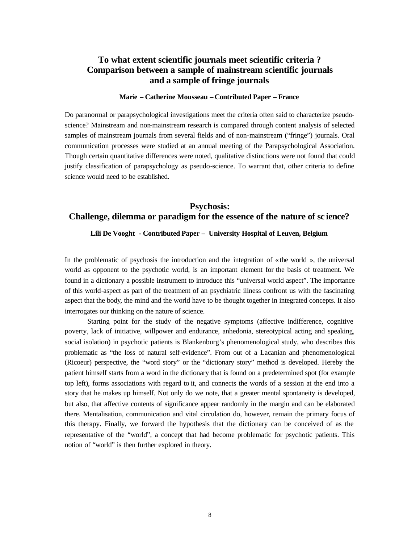## **To what extent scientific journals meet scientific criteria ? Comparison between a sample of mainstream scientific journals and a sample of fringe journals**

### **Marie – Catherine Mousseau – Contributed Paper – France**

Do paranormal or parapsychological investigations meet the criteria often said to characterize pseudoscience? Mainstream and non-mainstream research is compared through content analysis of selected samples of mainstream journals from several fields and of non-mainstream ("fringe") journals. Oral communication processes were studied at an annual meeting of the Parapsychological Association. Though certain quantitative differences were noted, qualitative distinctions were not found that could justify classification of parapsychology as pseudo-science. To warrant that, other criteria to define science would need to be established.

## **Psychosis: Challenge, dilemma or paradigm for the essence of the nature of sc ience?**

### **Lili De Vooght - Contributed Paper – University Hospital of Leuven, Belgium**

In the problematic of psychosis the introduction and the integration of  $\alpha$  the world », the universal world as opponent to the psychotic world, is an important element for the basis of treatment. We found in a dictionary a possible instrument to introduce this "universal world aspect". The importance of this world-aspect as part of the treatment of an psychiatric illness confront us with the fascinating aspect that the body, the mind and the world have to be thought together in integrated concepts. It also interrogates our thinking on the nature of science.

Starting point for the study of the negative symptoms (affective indifference, cognitive poverty, lack of initiative, willpower and endurance, anhedonia, stereotypical acting and speaking, social isolation) in psychotic patients is Blankenburg's phenomenological study, who describes this problematic as "the loss of natural self-evidence". From out of a Lacanian and phenomenological (Ricoeur) perspective, the "word story" or the "dictionary story" method is developed. Hereby the patient himself starts from a word in the dictionary that is found on a predetermined spot (for example top left), forms associations with regard to it, and connects the words of a session at the end into a story that he makes up himself. Not only do we note, that a greater mental spontaneity is developed, but also, that affective contents of significance appear randomly in the margin and can be elaborated there. Mentalisation, communication and vital circulation do, however, remain the primary focus of this therapy. Finally, we forward the hypothesis that the dictionary can be conceived of as the representative of the "world", a concept that had become problematic for psychotic patients. This notion of "world" is then further explored in theory.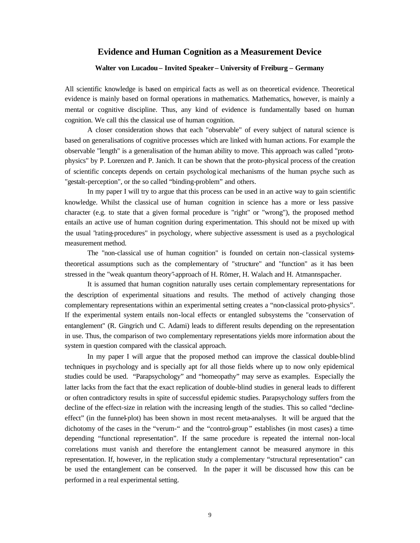## **Evidence and Human Cognition as a Measurement Device**

## **Walter von Lucadou – Invited Speaker** *–* **University of Freiburg – Germany**

All scientific knowledge is based on empirical facts as well as on theoretical evidence. Theoretical evidence is mainly based on formal operations in mathematics. Mathematics, however, is mainly a mental or cognitive discipline. Thus, any kind of evidence is fundamentally based on human cognition. We call this the classical use of human cognition.

A closer consideration shows that each "observable" of every subject of natural science is based on generalisations of cognitive processes which are linked with human actions. For example the observable "length" is a generalisation of the human ability to move. This approach was called "protophysics" by P. Lorenzen and P. Janich. It can be shown that the proto-physical process of the creation of scientific concepts depends on certain psycholog ical mechanisms of the human psyche such as "gestalt-perception", or the so called "binding-problem" and others.

In my paper I will try to argue that this process can be used in an active way to gain scientific knowledge. Whilst the classical use of human cognition in science has a more or less passive character (e.g. to state that a given formal procedure is "right" or "wrong"), the proposed method entails an active use of human cognition during experimentation. This should not be mixed up with the usual "rating-procedures" in psychology, where subjective assessment is used as a psychological measurement method.

The "non-classical use of human cognition" is founded on certain non-classical systemstheoretical assumptions such as the complementary of "structure" and "function" as it has been stressed in the "weak quantum theory"-approach of H. Römer, H. Walach and H. Atmannspacher.

It is assumed that human cognition naturally uses certain complementary representations for the description of experimental situations and results. The method of actively changing those complementary representations within an experimental setting creates a "non-classical proto-physics". If the experimental system entails non-local effects or entangled subsystems the "conservation of entanglement" (R. Gingrich und C. Adami) leads to different results depending on the representation in use. Thus, the comparison of two complementary representations yields more information about the system in question compared with the classical approach.

In my paper I will argue that the proposed method can improve the classical double-blind techniques in psychology and is specially apt for all those fields where up to now only epidemical studies could be used. "Parapsychology" and "homeopathy" may serve as examples. Especially the latter lacks from the fact that the exact replication of double-blind studies in general leads to different or often contradictory results in spite of successful epidemic studies. Parapsychology suffers from the decline of the effect-size in relation with the increasing length of the studies. This so called "declineeffect" (in the funnel-plot) has been shown in most recent meta-analyses. It will be argued that the dichotomy of the cases in the "verum-" and the "control-group" establishes (in most cases) a timedepending "functional representation". If the same procedure is repeated the internal non-local correlations must vanish and therefore the entanglement cannot be measured anymore in this representation. If, however, in the replication study a complementary "structural representation" can be used the entanglement can be conserved. In the paper it will be discussed how this can be performed in a real experimental setting.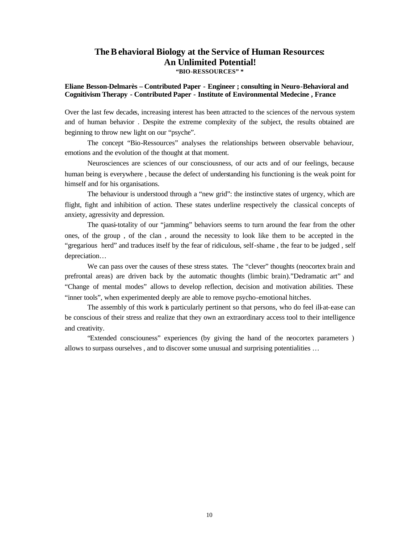## **The Behavioral Biology at the Service of Human Resources: An Unlimited Potential! "BIO-RESSOURCES" \***

### **Eliane Besson-Delmarès – Contributed Paper - Engineer ; consulting in Neuro-Behavioral and Cognitivism Therapy - Contributed Paper - Institute of Environmental Medecine , France**

Over the last few decades, increasing interest has been attracted to the sciences of the nervous system and of human behavior . Despite the extreme complexity of the subject, the results obtained are beginning to throw new light on our "psyche".

The concept "Bio-Ressources" analyses the relationships between observable behaviour, emotions and the evolution of the thought at that moment.

Neurosciences are sciences of our consciousness, of our acts and of our feelings, because human being is everywhere , because the defect of understanding his functioning is the weak point for himself and for his organisations.

The behaviour is understood through a "new grid": the instinctive states of urgency, which are flight, fight and inhibition of action. These states underline respectively the classical concepts of anxiety, agressivity and depression.

The quasi-totality of our "jamming" behaviors seems to turn around the fear from the other ones, of the group , of the clan , around the necessity to look like them to be accepted in the "gregarious herd" and traduces itself by the fear of ridiculous, self-shame , the fear to be judged , self depreciation…

We can pass over the causes of these stress states. The "clever" thoughts (neocortex brain and prefrontal areas) are driven back by the automatic thoughts (limbic brain)."Dedramatic art" and "Change of mental modes" allows to develop reflection, decision and motivation abilities. These "inner tools", when experimented deeply are able to remove psycho-emotional hitches.

The assembly of this work is particularly pertinent so that persons, who do feel ill-at-ease can be conscious of their stress and realize that they own an extraordinary access tool to their intelligence and creativity.

"Extended consciouness" experiences (by giving the hand of the neocortex parameters ) allows to surpass ourselves , and to discover some unusual and surprising potentialities …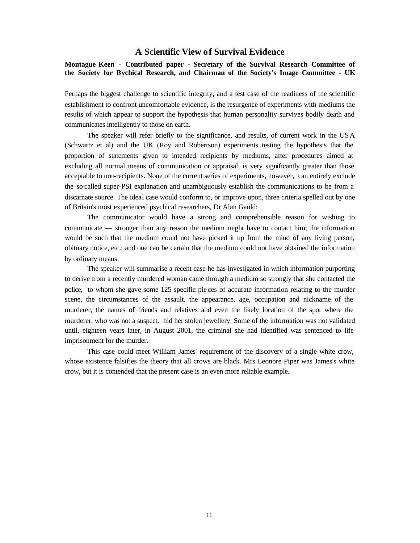## **A Scientific View of Survival Evidence**

**Montague Keen - Contributed paper - Secretary of the Survival Research Committee of the Society for Psychical Research, and Chairman of the Society's Image Committee - UK**

Perhaps the biggest challenge to scientific integrity, and a test case of the readiness of the scientific establishment to confront uncomfortable evidence, is the resurgence of experiments with mediums the results of which appear to support the hypothesis that human personality survives bodily death and communicates intelligently to those on earth.

The speaker will refer briefly to the significance, and results, of current work in the USA (Schwartz et al) and the UK (Roy and Robertson) experiments testing the hypothesis that the proportion of statements given to intended recipients by mediums, after procedures aimed at excluding all normal means of communication or appraisal, is very significantly greater than those acceptable to non-recipients. None of the current series of experiments, however, can entirely exclude the so-called super-PSI explanation and unambiguously establish the communications to be from a discarnate source. The ideal case would conform to, or improve upon, three criteria spelled out by one of Britain's most experienced psychical researchers, Dr Alan Gauld:

The communicator would have a strong and comprehensible reason for wishing to communicate — stronger than any reason the medium might have to contact him; the information would be such that the medium could not have picked it up from the mind of any living person, obituary notice, etc.; and one can be certain that the medium could not have obtained the information by ordinary means.

The speaker will summarise a recent case he has investigated in which information purporting to derive from a recently murdered woman came through a medium so strongly that she contacted the police, to whom she gave some 125 specific pie ces of accurate information relating to the murder scene, the circumstances of the assault, the appearance, age, occupation and nickname of the murderer, the names of friends and relatives and even the likely location of the spot where the murderer, who was not a suspect, hid her stolen jewellery. Some of the information was not validated until, eighteen years later, in August 2001, the criminal she had identified was sentenced to life imprisonment for the murder.

This case could meet William James' requirement of the discovery of a single white crow, whose existence falsifies the theory that all crows are black. Mrs Leonore Piper was James's white crow, but it is contended that the present case is an even more reliable example.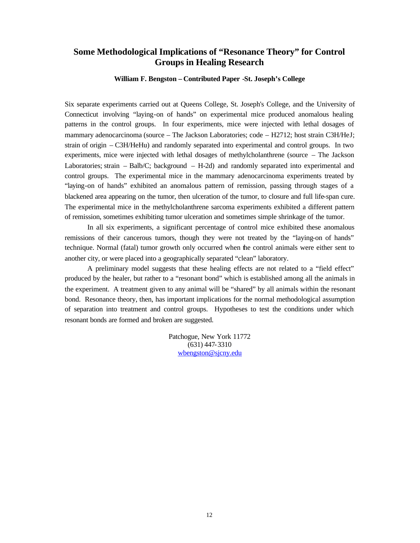## **Some Methodological Implications of "Resonance Theory" for Control Groups in Healing Research**

**William F. Bengston – Contributed Paper -St. Joseph's College**

Six separate experiments carried out at Queens College, St. Joseph's College, and the University of Connecticut involving "laying-on of hands" on experimental mice produced anomalous healing patterns in the control groups. In four experiments, mice were injected with lethal dosages of mammary adenocarcinoma (source – The Jackson Laboratories; code – H2712; host strain C3H/HeJ; strain of origin – C3H/HeHu) and randomly separated into experimental and control groups. In two experiments, mice were injected with lethal dosages of methylcholanthrene (source – The Jackson Laboratories; strain – Balb/C; background – H-2d) and randomly separated into experimental and control groups. The experimental mice in the mammary adenocarcinoma experiments treated by "laying-on of hands" exhibited an anomalous pattern of remission, passing through stages of a blackened area appearing on the tumor, then ulceration of the tumor, to closure and full life-span cure. The experimental mice in the methylcholanthrene sarcoma experiments exhibited a different pattern of remission, sometimes exhibiting tumor ulceration and sometimes simple shrinkage of the tumor.

In all six experiments, a significant percentage of control mice exhibited these anomalous remissions of their cancerous tumors, though they were not treated by the "laying-on of hands" technique. Normal (fatal) tumor growth only occurred when the control animals were either sent to another city, or were placed into a geographically separated "clean" laboratory.

A preliminary model suggests that these healing effects are not related to a "field effect" produced by the healer, but rather to a "resonant bond" which is established among all the animals in the experiment. A treatment given to any animal will be "shared" by all animals within the resonant bond. Resonance theory, then, has important implications for the normal methodological assumption of separation into treatment and control groups. Hypotheses to test the conditions under which resonant bonds are formed and broken are suggested.

> Patchogue, New York 11772 (631) 447-3310 wbengston@sjcny.edu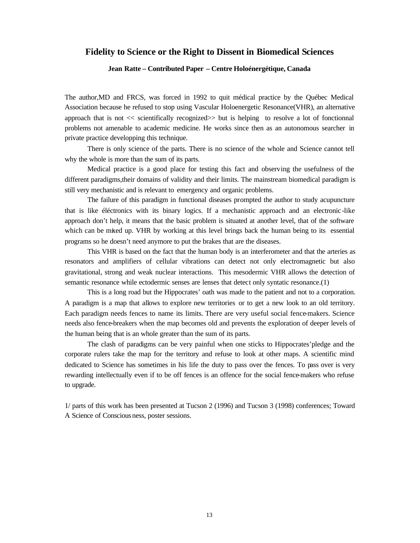### **Fidelity to Science or the Right to Dissent in Biomedical Sciences**

### **Jean Ratte – Contributed Paper – Centre Holoénergétique, Canada**

The author,MD and FRCS, was forced in 1992 to quit médical practice by the Québec Medical Association because he refused to stop using Vascular Holoenergetic Resonance(VHR), an alternative approach that is not << scientifically recognized>> but is helping to resolve a lot of fonctionnal problems not amenable to academic medicine. He works since then as an autonomous searcher in private practice developping this technique.

There is only science of the parts. There is no science of the whole and Science cannot tell why the whole is more than the sum of its parts.

Medical practice is a good place for testing this fact and observing the usefulness of the different paradigms,their domains of validity and their limits. The mainstream biomedical paradigm is still very mechanistic and is relevant to emergency and organic problems.

The failure of this paradigm in functional diseases prompted the author to study acupuncture that is like éléctronics with its binary logics. If a mechanistic approach and an electronic -like approach don't help, it means that the basic problem is situated at another level, that of the software which can be mixed up. VHR by working at this level brings back the human being to its essential programs so he doesn't need anymore to put the brakes that are the diseases.

This VHR is based on the fact that the human body is an interferometer and that the arteries as resonators and amplifiers of cellular vibrations can detect not only electromagnetic but also gravitational, strong and weak nuclear interactions. This mesodermic VHR allows the detection of semantic resonance while ectodermic senses are lenses that detect only syntatic resonance.(1)

This is a long road but the Hippocrates' oath was made to the patient and not to a corporation. A paradigm is a map that allows to explore new territories or to get a new look to an old territory. Each paradigm needs fences to name its limits. There are very useful social fence-makers. Science needs also fence-breakers when the map becomes old and prevents the exploration of deeper levels of the human being that is an whole greater than the sum of its parts.

The clash of paradigms can be very painful when one sticks to Hippocrates'pledge and the corporate rulers take the map for the territory and refuse to look at other maps. A scientific mind dedicated to Science has sometimes in his life the duty to pass over the fences. To pass over is very rewarding intellectually even if to be off fences is an offence for the social fence-makers who refuse to upgrade.

1/ parts of this work has been presented at Tucson 2 (1996) and Tucson 3 (1998) conferences; Toward A Science of Consciousness, poster sessions.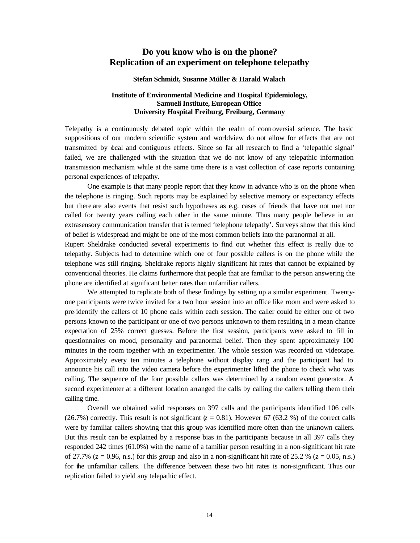## **Do you know who is on the phone? Replication of an experiment on telephone telepathy**

#### **Stefan Schmidt, Susanne Müller & Harald Walach**

### **Institute of Environmental Medicine and Hospital Epidemiology, Samueli Institute, European Office University Hospital Freiburg, Freiburg, Germany**

Telepathy is a continuously debated topic within the realm of controversial science. The basic suppositions of our modern scientific system and worldview do not allow for effects that are not transmitted by local and contiguous effects. Since so far all research to find a 'telepathic signal' failed, we are challenged with the situation that we do not know of any telepathic information transmission mechanism while at the same time there is a vast collection of case reports containing personal experiences of telepathy.

One example is that many people report that they know in advance who is on the phone when the telephone is ringing. Such reports may be explained by selective memory or expectancy effects but there are also events that resist such hypotheses as e.g. cases of friends that have not met nor called for twenty years calling each other in the same minute. Thus many people believe in an extrasensory communication transfer that is termed 'telephone telepathy'. Surveys show that this kind of belief is widespread and might be one of the most common beliefs into the paranormal at all.

Rupert Sheldrake conducted several experiments to find out whether this effect is really due to telepathy. Subjects had to determine which one of four possible callers is on the phone while the telephone was still ringing. Sheldrake reports highly significant hit rates that cannot be explained by conventional theories. He claims furthermore that people that are familiar to the person answering the phone are identified at significant better rates than unfamiliar callers.

We attempted to replicate both of these findings by setting up a similar experiment. Twentyone participants were twice invited for a two hour session into an office like room and were asked to pre-identify the callers of 10 phone calls within each session. The caller could be either one of two persons known to the participant or one of two persons unknown to them resulting in a mean chance expectation of 25% correct guesses. Before the first session, participants were asked to fill in questionnaires on mood, personality and paranormal belief. Then they spent approximately 100 minutes in the room together with an experimenter. The whole session was recorded on videotape. Approximately every ten minutes a telephone without display rang and the participant had to announce his call into the video camera before the experimenter lifted the phone to check who was calling. The sequence of the four possible callers was determined by a random event generator. A second experimenter at a different location arranged the calls by calling the callers telling them their calling time.

Overall we obtained valid responses on 397 calls and the participants identified 106 calls (26.7%) correctly. This result is not significant  $(z = 0.81)$ . However 67 (63.2 %) of the correct calls were by familiar callers showing that this group was identified more often than the unknown callers. But this result can be explained by a response bias in the participants because in all 397 calls they responded 242 times (61.0%) with the name of a familiar person resulting in a non-significant hit rate of 27.7% ( $z = 0.96$ , n.s.) for this group and also in a non-significant hit rate of 25.2 % ( $z = 0.05$ , n.s.) for the unfamiliar callers. The difference between these two hit rates is non-significant. Thus our replication failed to yield any telepathic effect.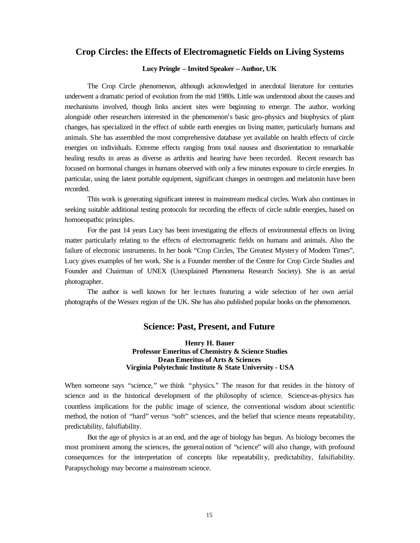## **Crop Circles: the Effects of Electromagnetic Fields on Living Systems**

### **Lucy Pringle – Invited Speaker – Author, UK**

The Crop Circle phenomenon, although acknowledged in anecdotal literature for centuries underwent a dramatic period of evolution from the mid 1980s. Little was understood about the causes and mechanisms involved, though links ancient sites were beginning to emerge. The author, working alongside other researchers interested in the phenomenon's basic geo-physics and biophysics of plant changes, has specialized in the effect of subtle earth energies on living matter, particularly humans and animals. She has assembled the most comprehensive database yet available on health effects of circle energies on individuals. Extreme effects ranging from total nausea and disorientation to remarkable healing results in areas as diverse as arthritis and hearing have been recorded. Recent research has focused on hormonal changes in humans observed with only a few minutes exposure to circle energies. In particular, using the latest portable equipment, significant changes in oestrogen and melatonin have been recorded.

This work is generating significant interest in mainstream medical circles. Work also continues in seeking suitable additional testing protocols for recording the effects of circle subtle energies, based on homoeopathic principles.

For the past 14 years Lucy has been investigating the effects of environmental effects on living matter particularly relating to the effects of electromagnetic fields on humans and animals. Also the failure of electronic instruments. In her book "Crop Circles, The Greatest Mystery of Modern Times", Lucy gives examples of her work. She is a Founder member of the Centre for Crop Circle Studies and Founder and Chairman of UNEX (Unexplained Phenomena Research Society). She is an aerial photographer.

The author is well known for her lectures featuring a wide selection of her own aerial photographs of the Wessex region of the UK. She has also published popular books on the phenomenon.

## **Science: Past, Present, and Future**

**Henry H. Bauer Professor Emeritus of Chemistry & Science Studies Dean Emeritus of Arts & Sciences Virginia Polytechnic Institute & State University - USA**

When someone says "science," we think "physics." The reason for that resides in the history of science and in the historical development of the philosophy of science. Science-as-physics has countless implications for the public image of science, the conventional wisdom about scientific method, the notion of "hard" versus "soft" sciences, and the belief that science means repeatability, predictability, falsifiability.

But the age of physics is at an end, and the age of biology has begun. As biology becomes the most prominent among the sciences, the general notion of "science" will also change, with profound consequences for the interpretation of concepts like repeatability, predictability, falsifiability. Parapsychology may become a mainstream science.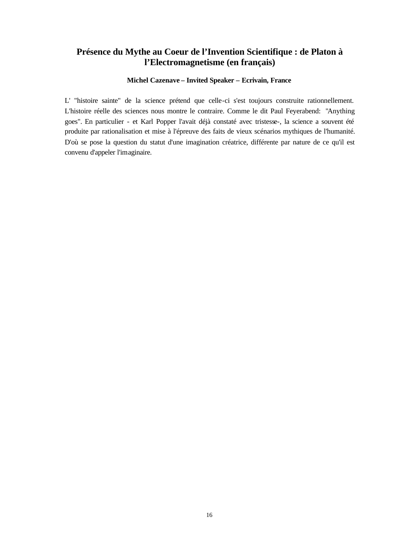## **Présence du Mythe au Coeur de l'Invention Scientifique : de Platon à l'Electromagnetisme (en français)**

### **Michel Cazenave – Invited Speaker – Ecrivain, France**

L' "histoire sainte" de la science prétend que celle-ci s'est toujours construite rationnellement. L'histoire réelle des sciences nous montre le contraire. Comme le dit Paul Feyerabend: "Anything goes". En particulier - et Karl Popper l'avait déjà constaté avec tristesse-, la science a souvent été produite par rationalisation et mise à l'épreuve des faits de vieux scénarios mythiques de l'humanité. D'où se pose la question du statut d'une imagination créatrice, différente par nature de ce qu'il est convenu d'appeler l'imaginaire.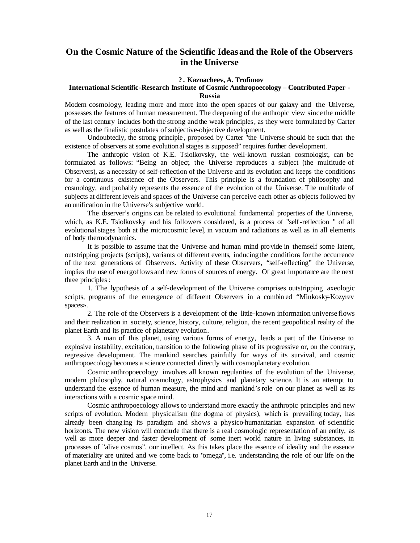## **On the Cosmic Nature of the Scientific Ideas and the Role of the Observers in the Universe**

### **? . Kaznacheev, A. Trofimov**

### **International Scientific-Research Institute of Cosmic Anthropoecology – Contributed Paper - Russia**

Modern cosmology, leading more and more into the open spaces of our galaxy and the Universe, possesses the features of human measurement. The deepening of the anthropic view since the middle of the last century includes both the strong and the weak principles, as they were formulated by Carter as well as the finalistic postulates of subjective-objective development.

Undoubtedly, the strong principle , proposed by Carter "the Universe should be such that the existence of observers at some evolutional stages is supposed" requires further development.

The anthropic vision of K.E. Tsiolkovsky, the well-known russian cosmologist, can be formulated as follows: "Being an object, the Universe reproduces a subject (the multitude of Observers), as a necessity of self-reflection of the Universe and its evolution and keeps the conditions for a continuous existence of the Observers. This principle is a foundation of philosophy and cosmology, and probably represents the essence of the evolution of the Universe. The multitude of subjects at different levels and spaces of the Universe can perceive each other as objects followed by an unification in the Universe's subjective world.

The observer's origins can be related to evolutional fundamental properties of the Universe, which, as K.E. Tsiolkovsky and his followers considered, is a process of "self-reflection " of all evolutional stages both at the microcosmic level, in vacuum and radiations as well as in all elements of body thermodynamics.

It is possible to assume that the Universe and human mind provide in themself some latent, outstripping projects (scripts), variants of different events, inducing the conditions for the occurrence of the next generations of Observers. Activity of these Observers, "self-reflecting" the Universe, implies the use of energoflows and new forms of sources of energy. Of great importance are the next three principles:

1. The hypothesis of a self-development of the Universe comprises outstripping axeologic scripts, programs of the emergence of different Observers in a combin ed "Minkosky-Kozyrev spaces».

2. The role of the Observers is a development of the little-known information universe flows and their realization in society, science, history, culture, religion, the recent geopolitical reality of the planet Earth and its practice of planetary evolution.

3. A man of this planet, using various forms of energy, leads a part of the Universe to explosive instability, excitation, transition to the following phase of its progressive or, on the contrary, regressive development. The mankind searches painfully for ways of its survival, and cosmic anthropoecology becomes a science connected directly with cosmoplanetary evolution.

Cosmic anthropoecology involves all known regularities of the evolution of the Universe, modern philosophy, natural cosmology, astrophysics and planetary science. It is an attempt to understand the essence of human measure, the mind and mankind's role on our planet as well as its interactions with a cosmic space mind.

Cosmic anthropoecology allows to understand more exactly the anthropic principles and new scripts of evolution. Modern physicalism (the dogma of physics), which is prevailing today, has already been changing its paradigm and shows a physico-humanitarian expansion of scientific horizonts. The new vision will conclude that there is a real cosmologic representation of an entity, as well as more deeper and faster development of some inert world nature in living substances, in processes of "alive cosmos", our intellect. As this takes place the essence of ideality and the essence of materiality are united and we come back to "omega", i.e. understanding the role of our life on the planet Earth and in the Universe.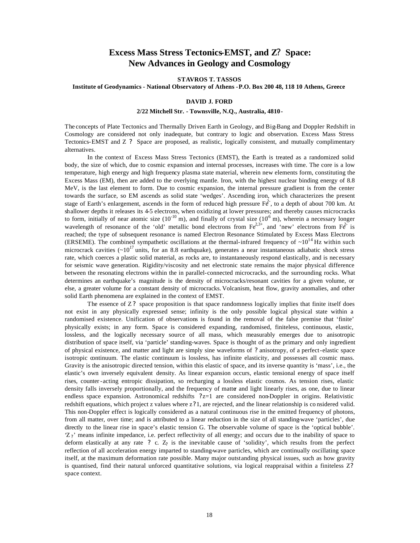## **Excess Mass Stress Tectonics-EMST, and Z? Space: New Advances in Geology and Cosmology**

#### **STAVROS T. TASSOS**

#### **Institute of Geodynamics - National Observatory of Athens -P.O. Box 200 48, 118 10 Athens, Greece**

#### **DAVID J. FORD**

#### **2/22 Mitchell Str. - Townsville, N.Q., Australia, 4810-**

The concepts of Plate Tectonics and Thermally Driven Earth in Geology, and Big-Bang and Doppler Redshift in Cosmology are considered not only inadequate, but contrary to logic and observation. Excess Mass Stress Tectonics-EMST and Z ? Space are proposed, as realistic, logically consistent, and mutually complimentary alternatives.

In the context of Excess Mass Stress Tectonics (EMST), the Earth is treated as a randomized solid body, the size of which, due to cosmic expansion and internal processes, increases with time. The core is a low temperature, high energy and high frequency plasma state material, wherein new elements form, constituting the Excess Mass (EM), then are added to the overlying mantle. Iron, with the highest nuclear binding energy of 8.8 MeV, is the last element to form. Due to cosmic expansion, the internal pressure gradient is from the center towards the surface, so EM ascends as solid state 'wedges'. Ascending iron, which characterizes the present stage of Earth's enlargement, ascends in the form of reduced high pressure  $F\hat{\epsilon}$ , to a depth of about 700 km. At shallower depths it releases its 4-5 electrons, when oxidizing at lower pressures; and thereby causes microcracks to form, initially of near atomic size  $(10^{-10}$  m), and finally of crystal size  $(10^{-6}$  m), wherein a necessary longer wavelength of resonance of the 'old' metallic bond electrons from  $Fe^{2,3+}$ , and 'new' electrons from  $Fe^{2}$  is reached; the type of subsequent resonance is named Electron Resonance Stimulated by Excess Mass Electrons (ERSEME). The combined sympathetic oscillations at the thermal-infrared frequency of  $\sim 10^{14}$  Hz within such microcrack cavities  $(-10^{17} \text{ units})$ , for an 8.8 earthquake), generates a near instantaneous adiabatic shock stress rate, which coerces a plastic solid material, as rocks are, to instantaneously respond elastically, and is necessary for seismic wave generation. Rigidity/viscosity and net electronic state remains the major physical difference between the resonating electrons within the in parallel-connected microcracks, and the surrounding rocks. What determines an earthquake's magnitude is the density of microcracks/resonant cavities for a given volume, or else, a greater volume for a constant density of microcracks. Volcanism, heat flow, gravity anomalies, and other solid Earth phenomena are explained in the context of EMST.

The essence of Z? space proposition is that space randomness logically implies that finite itself does not exist in any physically expressed sense; infinity is the only possible logical physical state within a randomised existence. Unification of observations is found in the removal of the false premise that 'finite' physically exists; in any form. Space is considered expanding, randomised, finiteless, continuous, elastic, lossless, and the logically necessary source of all mass, which measurably emerges due to anisotropic distribution of space itself, via 'particle' standing-waves. Space is thought of as the primary and only ingredient of physical existence, and matter and light are simply sine waveforms of ? anisotropy, of a perfect-elastic space isotropic continuum. The elastic continuum is lossless, has infinite elasticity, and possesses all cosmic mass. Gravity is the anisotropic directed tension, within this elastic of space, and its inverse quantity is 'mass', i.e., the elastic's own inversely equivalent density. As linear expansion occurs, elastic tensional energy of space itself rises, counter-acting entropic dissipation, so recharging a lossless elastic cosmos. As tension rises, elastic density falls inversely proportionally, and the frequency of matter and light linearly rises, as one, due to linear endless space expansion. Astronomical redshifts ?z=1 are considered non-Doppler in origins. Relativistic redshift equations, which project z values where z? 1, are rejected, and the linear relationship is co nsidered valid. This non-Doppler effect is logically considered as a natural continuous rise in the emitted frequency of photons, from all matter, over time; and is attributed to a linear reduction in the size of all standing-wave 'particles', due directly to the linear rise in space's elastic tension G. The observable volume of space is the 'optical bubble'.  $Z_i$  means infinite impedance, i.e. perfect reflectivity of all energy; and occurs due to the inability of space to deform elastically at any rate ? c.  $Z_2$  is the inevitable cause of 'solidity', which results from the perfect reflection of all acceleration energy imparted to standing-wave particles, which are continually oscillating space itself, at the maximum deformation rate possible. Many major outstanding physical issues, such as how gravity is quantised, find their natural unforced quantitative solutions, via logical reappraisal within a finiteless Z? space context.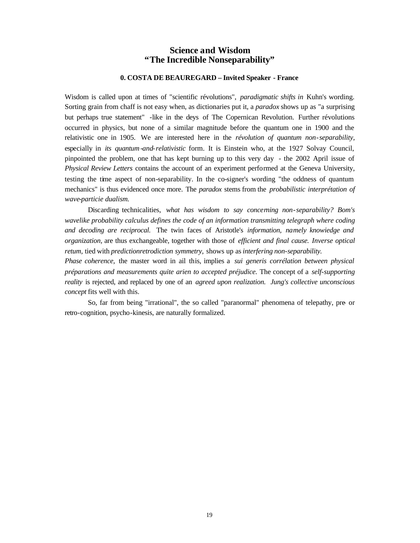## **Science and Wisdom "The Incredible Nonseparability"**

### **0. COSTA DE BEAUREGARD – Invited Speaker - France**

Wisdom is called upon at times of "scientific révolutions", *paradigmatic shifts in* Kuhn's wording. Sorting grain from chaff is not easy when, as dictionaries put it, a *paradox* shows up as "a surprising but perhaps true statement" -like in the deys of The Copernican Revolution. Further révolutions occurred in physics, but none of a similar magnitude before the quantum one in 1900 and the relativistic one in 1905. We are interested here in the *révolution of quantum non-separability,*  especially in *its quantum-and-relativistic* form. It is Einstein who, at the 1927 Solvay Council, pinpointed the problem, one that has kept burning up to this very day - the 2002 April issue of *Physical Review Letters* contains the account of an experiment performed at the Geneva University, testing the time aspect of non-separability. In the co-signer's wording "the oddness of quantum mechanics" is thus evidenced once more. The *paradox* stems from the *probabilistic interprétation of wave-particie dualism.* 

Discarding technicalities, *what has wisdom to say concerning non-separability? Bom's wavelike probability calculus defines the code of an information transmitting telegraph where coding and decoding are reciprocal.* The twin faces of Aristotle's *information, namely knowiedge and organization,* are thus exchangeable, together with those of *efficient and final cause. Inverse optical retum,* tied with *predictionretrodiction symmetry,* shows up as *interfering non-separability.*

*Phase coherence,* the master word in ail this, implies a *sui generis corrélation between physical préparations and measurements quite arien to accepted préjudice.* The concept of a *self-supporting reality* is rejected, and replaced by one of an *agreed upon realization. Jung's collective unconscious concept* fits well with this.

So, far from being "irrational", the so called "paranormal" phenomena of telepathy, pre- or retro-cognition, psycho-kinesis, are naturally formalized.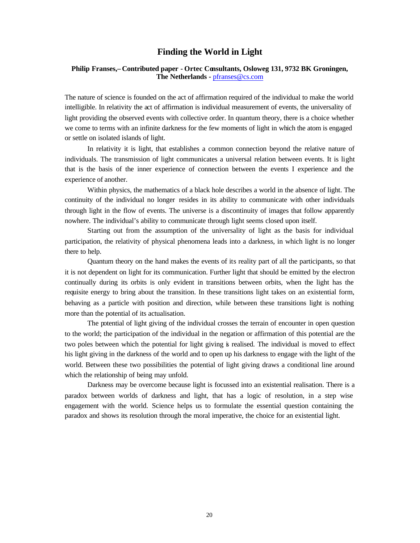## **Finding the World in Light**

### **Philip Franses,– Contributed paper - Ortec Consultants, Osloweg 131, 9732 BK Groningen, The Netherlands -** pfranses@cs.com

The nature of science is founded on the act of affirmation required of the individual to make the world intelligible. In relativity the act of affirmation is individual measurement of events, the universality of light providing the observed events with collective order. In quantum theory, there is a choice whether we come to terms with an infinite darkness for the few moments of light in which the atom is engaged or settle on isolated islands of light.

In relativity it is light, that establishes a common connection beyond the relative nature of individuals. The transmission of light communicates a universal relation between events. It is light that is the basis of the inner experience of connection between the events I experience and the experience of another.

Within physics, the mathematics of a black hole describes a world in the absence of light. The continuity of the individual no longer resides in its ability to communicate with other individuals through light in the flow of events. The universe is a discontinuity of images that follow apparently nowhere. The individual's ability to communicate through light seems closed upon itself.

Starting out from the assumption of the universality of light as the basis for individual participation, the relativity of physical phenomena leads into a darkness, in which light is no longer there to help.

Quantum theory on the hand makes the events of its reality part of all the participants, so that it is not dependent on light for its communication. Further light that should be emitted by the electron continually during its orbits is only evident in transitions between orbits, when the light has the requisite energy to bring about the transition. In these transitions light takes on an existential form, behaving as a particle with position and direction, while between these transitions light is nothing more than the potential of its actualisation.

The potential of light giving of the individual crosses the terrain of encounter in open question to the world; the participation of the individual in the negation or affirmation of this potential are the two poles between which the potential for light giving is realised. The individual is moved to effect his light giving in the darkness of the world and to open up his darkness to engage with the light of the world. Between these two possibilities the potential of light giving draws a conditional line around which the relationship of being may unfold.

Darkness may be overcome because light is focussed into an existential realisation. There is a paradox between worlds of darkness and light, that has a logic of resolution, in a step wise engagement with the world. Science helps us to formulate the essential question containing the paradox and shows its resolution through the moral imperative, the choice for an existential light.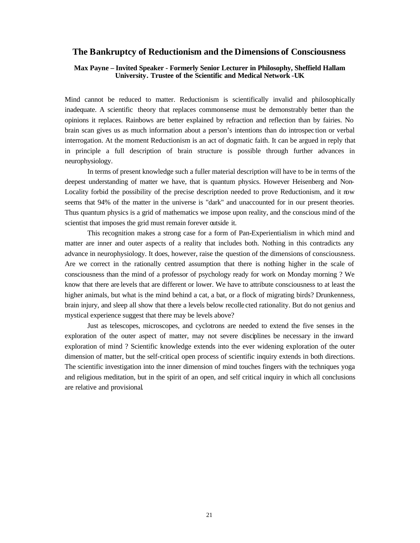### **The Bankruptcy of Reductionism and the Dimensions of Consciousness**

### **Max Payne – Invited Speaker - Formerly Senior Lecturer in Philosophy, Sheffield Hallam University. Trustee of the Scientific and Medical Network -UK**

Mind cannot be reduced to matter. Reductionism is scientifically invalid and philosophically inadequate. A scientific theory that replaces commonsense must be demonstrably better than the opinions it replaces. Rainbows are better explained by refraction and reflection than by fairies. No brain scan gives us as much information about a person's intentions than do introspec tion or verbal interrogation. At the moment Reductionism is an act of dogmatic faith. It can be argued in reply that in principle a full description of brain structure is possible through further advances in neurophysiology.

In terms of present knowledge such a fuller material description will have to be in terms of the deepest understanding of matter we have, that is quantum physics. However Heisenberg and Non-Locality forbid the possibility of the precise description needed to prove Reductionism, and it now seems that 94% of the matter in the universe is "dark" and unaccounted for in our present theories. Thus quantum physics is a grid of mathematics we impose upon reality, and the conscious mind of the scientist that imposes the grid must remain forever outside it.

This recognition makes a strong case for a form of Pan-Experientialism in which mind and matter are inner and outer aspects of a reality that includes both. Nothing in this contradicts any advance in neurophysiology. It does, however, raise the question of the dimensions of consciousness. Are we correct in the rationally centred assumption that there is nothing higher in the scale of consciousness than the mind of a professor of psychology ready for work on Monday morning ? We know that there are levels that are different or lower. We have to attribute consciousness to at least the higher animals, but what is the mind behind a cat, a bat, or a flock of migrating birds? Drunkenness, brain injury, and sleep all show that there a levels below recolle cted rationality. But do not genius and mystical experience suggest that there may be levels above?

Just as telescopes, microscopes, and cyclotrons are needed to extend the five senses in the exploration of the outer aspect of matter, may not severe disciplines be necessary in the inward exploration of mind ? Scientific knowledge extends into the ever widening exploration of the outer dimension of matter, but the self-critical open process of scientific inquiry extends in both directions. The scientific investigation into the inner dimension of mind touches fingers with the techniques yoga and religious meditation, but in the spirit of an open, and self critical inquiry in which all conclusions are relative and provisional.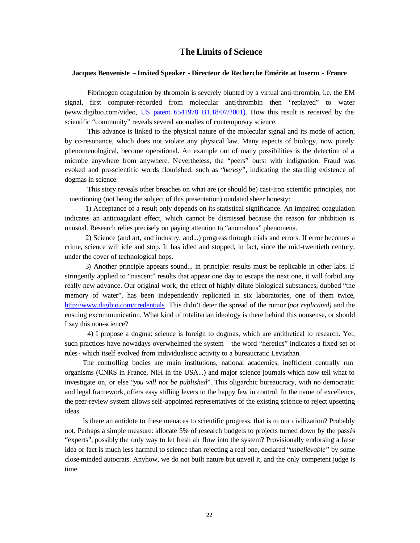## **The Limits of Science**

### **Jacques Benveniste – Invited Speaker - Directeur de Recherche Emérite at Inserm - France**

Fibrinogen coagulation by thrombin is severely blunted by a virtual anti-thrombin, i.e. the EM signal, first computer-recorded from molecular anti-thrombin then "replayed" to water (www.digibio.com/video, US patent 6541978 B1,18/07/2001). How this result is received by the scientific "community" reveals several anomalies of contemporary science.

This advance is linked to the physical nature of the molecular signal and its mode of action, by co-resonance, which does not violate any physical law. Many aspects of biology, now purely phenomenological, become operational. An example out of many possibilities is the detection of a microbe anywhere from anywhere. Nevertheless, the "peers" burst with indignation. Fraud was evoked and pre-scientific words flourished, such as "*heresy*", indicating the startling existence of dogmas in science.

This story reveals other breaches on what are (or should be) cast-iron scientific principles, not mentioning (not being the subject of this presentation) outdated sheer honesty:

1) Acceptance of a result only depends on its statistical significance. An impaired coagulation indicates an anticoagulant effect, which cannot be dismissed because the reason for inhibition is unusual. Research relies precisely on paying attention to "anomalous" phenomena.

2) Science (and art, and industry, and...) progress through trials and errors. If error becomes a crime, science will idle and stop. It has idled and stopped, in fact, since the mid-twentieth century, under the cover of technological hops.

3) Another principle appears sound... in principle: results must be replicable in other labs. If stringently applied to "nascent" results that appear one day to escape the next one, it will forbid any really new advance. Our original work, the effect of highly dilute biological substances, dubbed "the memory of water", has been independently replicated in six laboratories, one of them twice, http://www.digibio.com/credentials. This didn't deter the spread of the rumor (*not replicated)* and the ensuing excommunication. What kind of totalitarian ideology is there behind this nonsense, or should I say this non-science?

4) I propose a dogma: science is foreign to dogmas, which are antithetical to research. Yet, such practices have nowadays overwhelmed the system – the word "heretics" indicates a fixed set of rules- which itself evolved from individualistic activity to a bureaucratic Leviathan.

The controlling bodies are main institutions, national academies, inefficient centrally run organisms (CNRS in France, NIH in the USA...) and major science journals which now tell what to investigate on, or else "*you will not be published*". This oligarchic bureaucracy, with no democratic and legal framework, offers easy stifling levers to the happy few in control. In the name of excellence, the peer-review system allows self-appointed representatives of the existing science to reject upsetting ideas.

Is there an antidote to these menaces to scientific progress, that is to our civilization? Probably not. Perhaps a simple measure: allocate 5% of research budgets to projects turned down by the passés "experts", possibly the only way to let fresh air flow into the system? Provisionally endorsing a false idea or fact is much less harmful to science than rejecting a real one, declared "*unbelievable*" by some close-minded autocrats. Anyhow, we do not built nature but unveil it, and the only competent judge is time.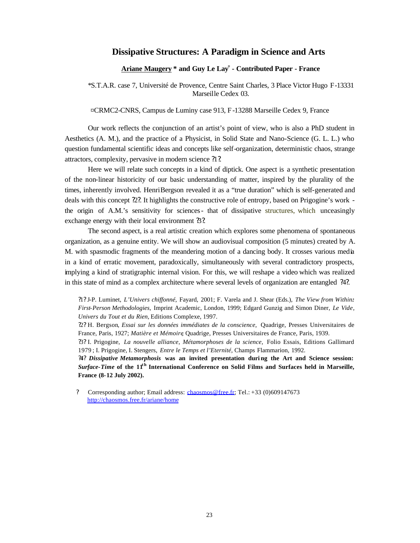## **Dissipative Structures: A Paradigm in Science and Arts**

### **Ariane Maugery \* and Guy Le Lay¤ - Contributed Paper - France**

\*S.T.A.R. case 7, Université de Provence, Centre Saint Charles, 3 Place Victor Hugo F-13331 Marseille Cedex 03.

¤CRMC2-CNRS, Campus de Luminy case 913, F-13288 Marseille Cedex 9, France

Our work reflects the conjunction of an artist's point of view, who is also a PhD student in Aesthetics (A. M.), and the practice of a Physicist, in Solid State and Nano-Science (G. L. L.) who question fundamental scientific ideas and concepts like self-organization, deterministic chaos, strange attractors, complexity, pervasive in modern science ?1?.

Here we will relate such concepts in a kind of diptick. One aspect is a synthetic presentation of the non-linear historicity of our basic understanding of matter, inspired by the plurality of the times, inherently involved. Henri Bergson revealed it as a "true duration" which is self-generated and deals with this concept ?2?. It highlights the constructive role of entropy, based on Prigogine's work the origin of A.M.'s sensitivity for sciences- that of dissipative structures, which unceasingly exchange energy with their local environment 3.

The second aspect, is a real artistic creation which explores some phenomena of spontaneous organization, as a genuine entity. We will show an audiovisual composition (5 minutes) created by A. M. with spasmodic fragments of the meandering motion of a dancing body. It crosses various media in a kind of erratic movement, paradoxically, simultaneously with several contradictory prospects, implying a kind of stratigraphic internal vision. For this, we will reshape a video which was realized in this state of mind as a complex architecture where several levels of organization are entangled ?4?.

?1? J-P. Luminet, *L'Univers chiffonné*, Fayard, 2001; F. Varela and J. Shear (Eds.), *The View from Within: First-Person Methodologies,* Imprint Academic, London, 1999; Edgard Gunzig and Simon Diner, *Le Vide, Univers du Tout et du Rien,* Editions Complexe, 1997.

?2? H. Bergson*, Essai sur les données immédiates de la conscience,* Quadrige, Presses Universitaires de France, Paris, 1927; *Matière et Mémoire*, Quadrige, Presses Universitaires de France, Paris, 1939.

?3? I. Prigogine, *La nouvelle alliance, Métamorphoses de la science,* Folio Essais, Editions Gallimard 1979 ; I. Prigogine, I. Stengers, *Entre le Temps et l'Eternité,* Champs Flammarion, 1992.

**?4?** *Dissipative Metamorphosis* **was an invited presentation duri ng the Art and Science session:**  *Surface-Time* of the 11<sup>th</sup> International Conference on Solid Films and Surfaces held in Marseille, **France (8-12 July 2002).**

? Corresponding author; Email address: chaosmos@free.fr; Tel.: +33 (0)609147673 http://chaosmos.free.fr/ariane/home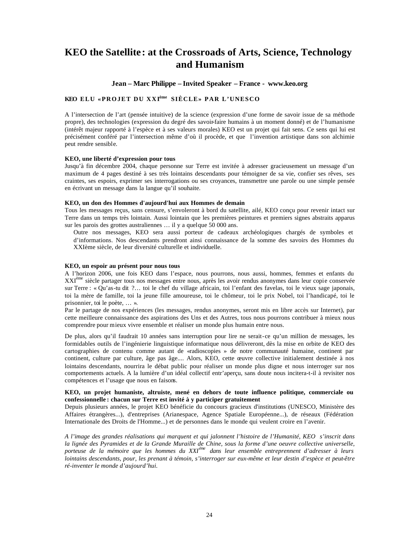## **KEO the Satellite: at the Crossroads of Arts, Science, Technology and Humanism**

#### **Jean – Marc Philippe – Invited Speaker – France - www.keo.org**

### **KEO ELU «PROJET DU XXIème SIÈCLE» PAR L'UNESCO**

A l'intersection de l'art (pensée intuitive) de la science (expression d'une forme de savoir issue de sa méthode propre), des technologies (expression du degré des savoir-faire humains à un moment donné) et de l'humanisme (intérêt majeur rapporté à l'espèce et à ses valeurs morales) KEO est un projet qui fait sens. Ce sens qui lui est précisément conféré par l'intersection même d'où il procède, et que l'invention artistique dans son alchimie peut rendre sensible.

#### **KEO, une liberté d'expression pour tous**

Jusqu'à fin décembre 2004, chaque personne sur Terre est invitée à adresser gracieusement un message d'un maximum de 4 pages destiné à ses très lointains descendants pour témoigner de sa vie, confier ses rêves, ses craintes, ses espoirs, exprimer ses interrogations ou ses croyances, transmettre une parole ou une simple pensée en écrivant un message dans la langue qu'il souhaite.

#### **KEO, un don des Hommes d'aujourd'hui aux Hommes de demain**

Tous les messages reçus, sans censure, s'envoleront à bord du satellite, ailé, KEO conçu pour revenir intact sur Terre dans un temps très lointain. Aussi lointain que les premières peintures et premiers signes abstraits apparus sur les parois des grottes australiennes … il y a quelque 50 000 ans.

Outre nos messages, KEO sera aussi porteur de cadeaux archéologiques chargés de symboles et d'informations. Nos descendants prendront ainsi connaissance de la somme des savoirs des Hommes du XXIème siècle, de leur diversité culturelle et individuelle.

#### **KEO, un espoir au présent pour nous tous**

A l'horizon 2006, une fois KEO dans l'espace, nous pourrons, nous aussi, hommes, femmes et enfants du XXIème siècle partager tous nos messages entre nous, après les avoir rendus anonymes dans leur copie conservée sur Terre : « Qu'as-tu dit ?… toi le chef du village africain, toi l'enfant des favelas, toi le vieux sage japonais, toi la mère de famille, toi la jeune fille amoureuse, toi le chômeur, toi le prix Nobel, toi l'handicapé, toi le prisonnier, toi le poète, … ».

Par le partage de nos expériences (les messages, rendus anonymes, seront mis en libre accès sur Internet), par cette meilleure connaissance des aspirations des Uns et des Autres, tous nous pourrons contribuer à mieux nous comprendre pour mieux vivre ensemble et réaliser un monde plus humain entre nous.

De plus, alors qu'il faudrait 10 années sans interruption pour lire ne serait-ce qu'un million de messages, les formidables outils de l'ingénierie linguistique informatique nous délivreront, dès la mise en orbite de KEO des cartographies de contenu comme autant de «radioscopies » de notre communauté humaine, continent par continent, culture par culture, âge pas âge.... Alors, KEO, cette œuvre collective initialement destinée à nos lointains descendants, nourrira le débat public pour réaliser un monde plus digne et nous interroger sur nos comportements actuels. A la lumière d'un idéal collectif entr'aperçu, sans doute nous incitera-t-il à revisiter nos compétences et l'usage que nous en faisons.

#### **KEO, un projet humaniste, altruiste, mené en dehors de toute influence politique, commerciale ou confessionnelle : chacun sur Terre est invité à y participer gratuitement**

Depuis plusieurs années, le projet KEO bénéficie du concours gracieux d'institutions (UNESCO, Ministère des Affaires étrangères...), d'entreprises (Arianespace, Agence Spatiale Européenne...), de réseaux (Fédération Internationale des Droits de l'Homme...) et de personnes dans le monde qui veulent croire en l'avenir.

*A l'image des grandes réalisations qui marquent et qui jalonnent l'histoire de l'Humanité, KEO s'inscrit dans la lignée des Pyramides et de la Grande Muraille de Chine, sous la forme d'une oeuvre collective universelle, porteuse de la mémoire que les hommes du XXIème dans leur ensemble entreprennent d'adresser à leurs lointains descendants, pour, les prenant à témoin, s'interroger sur eux-même et leur destin d'espèce et peut-être ré-inventer le monde d'aujourd'hui.*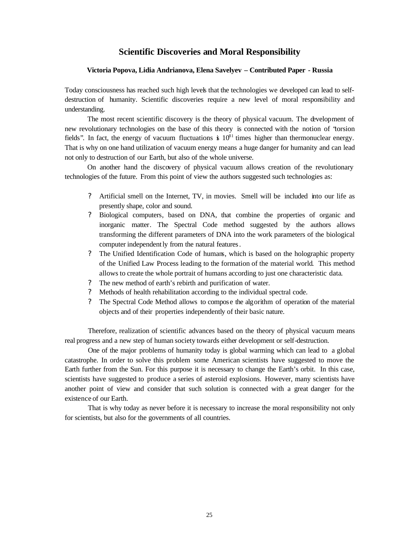## **Scientific Discoveries and Moral Responsibility**

### **Victoria Popova, Lidia Andrianova, Elena Savelyev – Contributed Paper - Russia**

Today consciousness has reached such high levels that the technologies we developed can lead to selfdestruction of humanity. Scientific discoveries require a new level of moral responsibility and understanding.

The most recent scientific discovery is the theory of physical vacuum. The development of new revolutionary technologies on the base of this theory is connected with the notion of "torsion fields". In fact, the energy of vacuum fluctuations  $\dot{s}$  10<sup>81</sup> times higher than thermonuclear energy. That is why on one hand utilization of vacuum energy means a huge danger for humanity and can lead not only to destruction of our Earth, but also of the whole universe.

On another hand the discovery of physical vacuum allows creation of the revolutionary technologies of the future. From this point of view the authors suggested such technologies as:

- ? Artificial smell on the Internet, TV, in movies. Smell will be included into our life as presently shape, color and sound.
- ? Biological computers, based on DNA, that combine the properties of organic and inorganic matter. The Spectral Code method suggested by the authors allows transforming the different parameters of DNA into the work parameters of the biological computer independently from the natural features.
- ? The Unified Identification Code of humans, which is based on the holographic property of the Unified Law Process leading to the formation of the material world. This method allows to create the whole portrait of humans according to just one characteristic data.
- ? The new method of earth's rebirth and purification of water.
- ? Methods of health rehabilitation according to the individual spectral code.
- ? The Spectral Code Method allows to compose the algorithm of operation of the material objects and of their properties independently of their basic nature.

Therefore, realization of scientific advances based on the theory of physical vacuum means real progress and a new step of human society towards either development or self-destruction.

One of the major problems of humanity today is global warming which can lead to a global catastrophe. In order to solve this problem some American scientists have suggested to move the Earth further from the Sun. For this purpose it is necessary to change the Earth's orbit. In this case, scientists have suggested to produce a series of asteroid explosions. However, many scientists have another point of view and consider that such solution is connected with a great danger for the existence of our Earth.

That is why today as never before it is necessary to increase the moral responsibility not only for scientists, but also for the governments of all countries.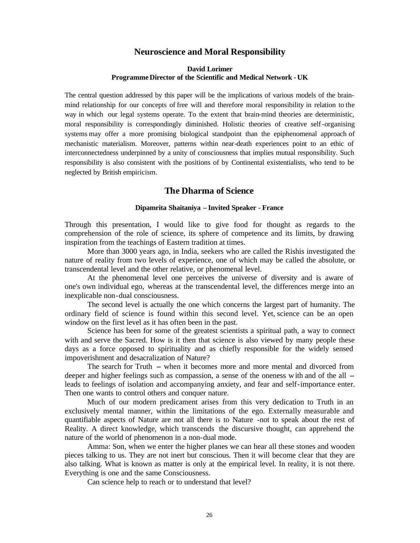## **Neuroscience and Moral Responsibility**

### **David Lorimer Programme Director of the Scientific and Medical Network - UK**

The central question addressed by this paper will be the implications of various models of the brainmind relationship for our concepts of free will and therefore moral responsibility in relation to the way in which our legal systems operate. To the extent that brain-mind theories are deterministic, moral responsibility is correspondingly diminished. Holistic theories of creative self-organising systems may offer a more promising biological standpoint than the epiphenomenal approach of mechanistic materialism. Moreover, patterns within near-death experiences point to an ethic of interconnectedness underpinned by a unity of consciousness that implies mutual responsibility. Such responsibility is also consistent with the positions of by Continental existentialists, who tend to be neglected by British empiricism.

## **The Dharma of Science**

### **Dipamrita Shaitaniya – Invited Speaker - France**

Through this presentation, I would like to give food for thought as regards to the comprehension of the role of science, its sphere of competence and its limits, by drawing inspiration from the teachings of Eastern tradition at times.

More than 3000 years ago, in India, seekers who are called the Rishis investigated the nature of reality from two levels of experience, one of which may be called the absolute, or transcendental level and the other relative, or phenomenal level.

At the phenomenal level one perceives the universe of diversity and is aware of one's own individual ego, whereas at the transcendental level, the differences merge into an inexplicable non-dual consciousness.

The second level is actually the one which concerns the largest part of humanity. The ordinary field of science is found within this second level. Yet, science can be an open window on the first level as it has often been in the past.

Science has been for some of the greatest scientists a spiritual path, a way to connect with and serve the Sacred. How is it then that science is also viewed by many people these days as a force opposed to spirituality and as chiefly responsible for the widely sensed impoverishment and desacralization of Nature?

The search for Truth -- when it becomes more and more mental and divorced from deeper and higher feelings such as compassion, a sense of the oneness w ith and of the all  $$ leads to feelings of isolation and accompanying anxiety, and fear and self-importance enter. Then one wants to control others and conquer nature.

Much of our modern predicament arises from this very dedication to Truth in an exclusively mental manner, within the limitations of the ego. Externally measurable and quantifiable aspects of Nature are not all there is to Nature -not to speak about the rest of Reality. A direct knowledge, which transcends the discursive thought, can apprehend the nature of the world of phenomenon in a non-dual mode.

Amma: Son, when we enter the higher planes we can hear all these stones and wooden pieces talking to us. They are not inert but conscious. Then it will become clear that they are also talking. What is known as matter is only at the empirical level. In reality, it is not there. Everything is one and the same Consciousness.

Can science help to reach or to understand that level?